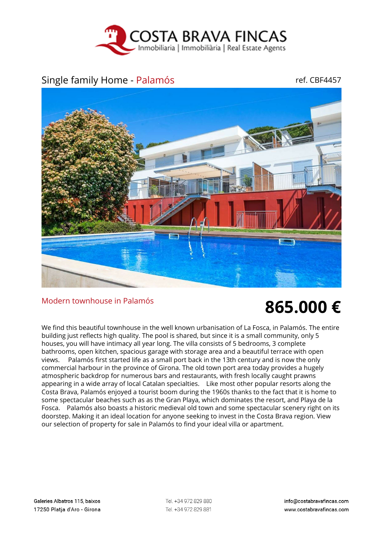

## Single family Home - Palamós ref. CBF4457



## Modern townhouse in Palamós **865.000 €**

We find this beautiful townhouse in the well known urbanisation of La Fosca, in Palamós. The entire building just reflects high quality. The pool is shared, but since it is a small community, only 5 houses, you will have intimacy all year long. The villa consists of 5 bedrooms, 3 complete bathrooms, open kitchen, spacious garage with storage area and a beautiful terrace with open views. Palamós first started life as a small port back in the 13th century and is now the only commercial harbour in the province of Girona. The old town port area today provides a hugely atmospheric backdrop for numerous bars and restaurants, with fresh locally caught prawns appearing in a wide array of local Catalan specialties. Like most other popular resorts along the Costa Brava, Palamós enjoyed a tourist boom during the 1960s thanks to the fact that it is home to some spectacular beaches such as as the Gran Playa, which dominates the resort, and Playa de la Fosca. Palamós also boasts a historic medieval old town and some spectacular scenery right on its doorstep. Making it an ideal location for anyone seeking to invest in the Costa Brava region. View our selection of property for sale in Palamós to find your ideal villa or apartment.